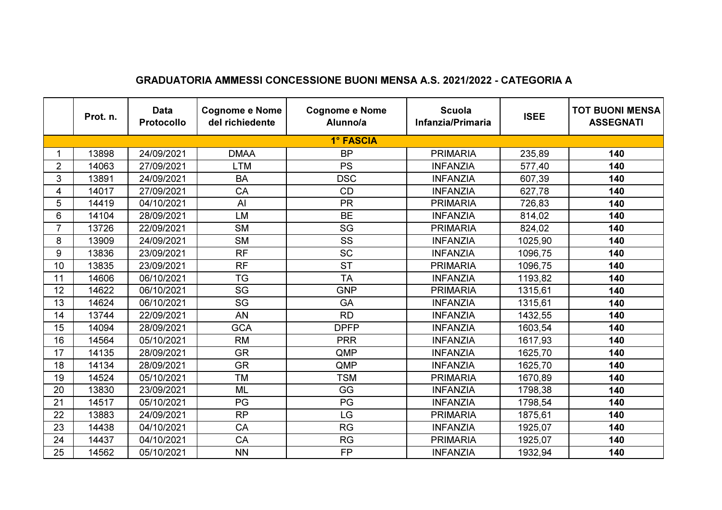|                | Prot. n. | <b>Data</b><br><b>Protocollo</b> | <b>Cognome e Nome</b><br>del richiedente | <b>Cognome e Nome</b><br>Alunno/a | <b>Scuola</b><br>Infanzia/Primaria | <b>ISEE</b> | <b>TOT BUONI MENSA</b><br><b>ASSEGNATI</b> |
|----------------|----------|----------------------------------|------------------------------------------|-----------------------------------|------------------------------------|-------------|--------------------------------------------|
|                |          |                                  |                                          | 1° FASCIA                         |                                    |             |                                            |
|                | 13898    | 24/09/2021                       | <b>DMAA</b>                              | <b>BP</b>                         | <b>PRIMARIA</b>                    | 235,89      | 140                                        |
| $\overline{2}$ | 14063    | 27/09/2021                       | <b>LTM</b>                               | <b>PS</b>                         | <b>INFANZIA</b>                    | 577,40      | 140                                        |
| 3              | 13891    | 24/09/2021                       | <b>BA</b>                                | <b>DSC</b>                        | <b>INFANZIA</b>                    | 607,39      | 140                                        |
| 4              | 14017    | 27/09/2021                       | CA                                       | CD                                | <b>INFANZIA</b>                    | 627,78      | 140                                        |
| 5              | 14419    | 04/10/2021                       | AI                                       | <b>PR</b>                         | <b>PRIMARIA</b>                    | 726,83      | 140                                        |
| 6              | 14104    | 28/09/2021                       | LM                                       | <b>BE</b>                         | <b>INFANZIA</b>                    | 814,02      | 140                                        |
| $\overline{7}$ | 13726    | 22/09/2021                       | <b>SM</b>                                | SG                                | <b>PRIMARIA</b>                    | 824,02      | 140                                        |
| 8              | 13909    | 24/09/2021                       | <b>SM</b>                                | SS                                | <b>INFANZIA</b>                    | 1025,90     | 140                                        |
| 9              | 13836    | 23/09/2021                       | <b>RF</b>                                | <b>SC</b>                         | <b>INFANZIA</b>                    | 1096,75     | 140                                        |
| 10             | 13835    | 23/09/2021                       | <b>RF</b>                                | <b>ST</b>                         | <b>PRIMARIA</b>                    | 1096,75     | 140                                        |
| 11             | 14606    | 06/10/2021                       | <b>TG</b>                                | <b>TA</b>                         | <b>INFANZIA</b>                    | 1193,82     | 140                                        |
| 12             | 14622    | 06/10/2021                       | SG                                       | <b>GNP</b>                        | <b>PRIMARIA</b>                    | 1315,61     | 140                                        |
| 13             | 14624    | 06/10/2021                       | SG                                       | GA                                | <b>INFANZIA</b>                    | 1315,61     | 140                                        |
| 14             | 13744    | 22/09/2021                       | <b>AN</b>                                | <b>RD</b>                         | <b>INFANZIA</b>                    | 1432,55     | 140                                        |
| 15             | 14094    | 28/09/2021                       | <b>GCA</b>                               | <b>DPFP</b>                       | <b>INFANZIA</b>                    | 1603,54     | 140                                        |
| 16             | 14564    | 05/10/2021                       | <b>RM</b>                                | <b>PRR</b>                        | <b>INFANZIA</b>                    | 1617,93     | 140                                        |
| 17             | 14135    | 28/09/2021                       | <b>GR</b>                                | QMP                               | <b>INFANZIA</b>                    | 1625,70     | 140                                        |
| 18             | 14134    | 28/09/2021                       | <b>GR</b>                                | QMP                               | <b>INFANZIA</b>                    | 1625,70     | 140                                        |
| 19             | 14524    | 05/10/2021                       | <b>TM</b>                                | <b>TSM</b>                        | <b>PRIMARIA</b>                    | 1670,89     | 140                                        |
| 20             | 13830    | 23/09/2021                       | <b>ML</b>                                | GG                                | <b>INFANZIA</b>                    | 1798,38     | 140                                        |
| 21             | 14517    | 05/10/2021                       | PG                                       | PG                                | <b>INFANZIA</b>                    | 1798,54     | 140                                        |
| 22             | 13883    | 24/09/2021                       | <b>RP</b>                                | LG                                | <b>PRIMARIA</b>                    | 1875,61     | 140                                        |
| 23             | 14438    | 04/10/2021                       | CA                                       | <b>RG</b>                         | <b>INFANZIA</b>                    | 1925,07     | 140                                        |
| 24             | 14437    | 04/10/2021                       | CA                                       | <b>RG</b>                         | <b>PRIMARIA</b>                    | 1925,07     | 140                                        |
| 25             | 14562    | 05/10/2021                       | <b>NN</b>                                | <b>FP</b>                         | <b>INFANZIA</b>                    | 1932,94     | 140                                        |

## GRADUATORIA AMMESSI CONCESSIONE BUONI MENSA A.S. 2021/2022 - CATEGORIA A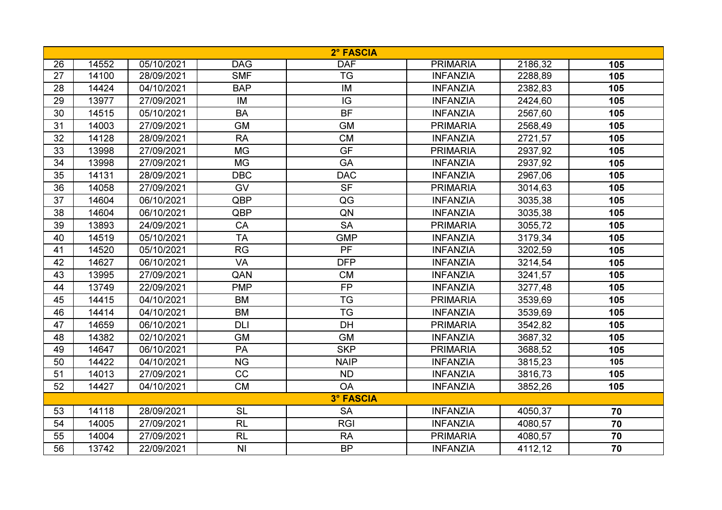| 2° FASCIA        |       |            |            |             |                 |         |                 |  |
|------------------|-------|------------|------------|-------------|-----------------|---------|-----------------|--|
| 26               | 14552 | 05/10/2021 | <b>DAG</b> | <b>DAF</b>  | <b>PRIMARIA</b> | 2186,32 | 105             |  |
| 27               | 14100 | 28/09/2021 | <b>SMF</b> | <b>TG</b>   | <b>INFANZIA</b> | 2288,89 | 105             |  |
| 28               | 14424 | 04/10/2021 | <b>BAP</b> | IM          | <b>INFANZIA</b> | 2382,83 | 105             |  |
| 29               | 13977 | 27/09/2021 | IM         | IG          | <b>INFANZIA</b> | 2424,60 | 105             |  |
| 30               | 14515 | 05/10/2021 | <b>BA</b>  | <b>BF</b>   | <b>INFANZIA</b> | 2567,60 | 105             |  |
| 31               | 14003 | 27/09/2021 | <b>GM</b>  | <b>GM</b>   | <b>PRIMARIA</b> | 2568,49 | 105             |  |
| 32               | 14128 | 28/09/2021 | <b>RA</b>  | <b>CM</b>   | <b>INFANZIA</b> | 2721,57 | 105             |  |
| 33               | 13998 | 27/09/2021 | <b>MG</b>  | <b>GF</b>   | <b>PRIMARIA</b> | 2937,92 | 105             |  |
| 34               | 13998 | 27/09/2021 | <b>MG</b>  | GA          | <b>INFANZIA</b> | 2937,92 | 105             |  |
| 35               | 14131 | 28/09/2021 | <b>DBC</b> | <b>DAC</b>  | <b>INFANZIA</b> | 2967,06 | 105             |  |
| 36               | 14058 | 27/09/2021 | GV         | <b>SF</b>   | <b>PRIMARIA</b> | 3014,63 | 105             |  |
| 37               | 14604 | 06/10/2021 | QBP        | QG          | <b>INFANZIA</b> | 3035,38 | 105             |  |
| 38               | 14604 | 06/10/2021 | QBP        | QN          | <b>INFANZIA</b> | 3035,38 | 105             |  |
| 39               | 13893 | 24/09/2021 | CA         | <b>SA</b>   | <b>PRIMARIA</b> | 3055,72 | 105             |  |
| 40               | 14519 | 05/10/2021 | <b>TA</b>  | <b>GMP</b>  | <b>INFANZIA</b> | 3179,34 | 105             |  |
| 41               | 14520 | 05/10/2021 | <b>RG</b>  | <b>PF</b>   | <b>INFANZIA</b> | 3202,59 | 105             |  |
| 42               | 14627 | 06/10/2021 | <b>VA</b>  | <b>DFP</b>  | <b>INFANZIA</b> | 3214,54 | 105             |  |
| 43               | 13995 | 27/09/2021 | QAN        | <b>CM</b>   | <b>INFANZIA</b> | 3241,57 | 105             |  |
| 44               | 13749 | 22/09/2021 | <b>PMP</b> | <b>FP</b>   | <b>INFANZIA</b> | 3277,48 | 105             |  |
| 45               | 14415 | 04/10/2021 | <b>BM</b>  | <b>TG</b>   | <b>PRIMARIA</b> | 3539,69 | 105             |  |
| 46               | 14414 | 04/10/2021 | <b>BM</b>  | <b>TG</b>   | <b>INFANZIA</b> | 3539,69 | 105             |  |
| 47               | 14659 | 06/10/2021 | <b>DLI</b> | <b>DH</b>   | <b>PRIMARIA</b> | 3542,82 | 105             |  |
| 48               | 14382 | 02/10/2021 | <b>GM</b>  | <b>GM</b>   | <b>INFANZIA</b> | 3687,32 | 105             |  |
| 49               | 14647 | 06/10/2021 | PA         | <b>SKP</b>  | <b>PRIMARIA</b> | 3688,52 | 105             |  |
| 50               | 14422 | 04/10/2021 | <b>NG</b>  | <b>NAIP</b> | <b>INFANZIA</b> | 3815,23 | 105             |  |
| 51               | 14013 | 27/09/2021 | CC         | <b>ND</b>   | <b>INFANZIA</b> | 3816,73 | 105             |  |
| 52               | 14427 | 04/10/2021 | CM         | <b>OA</b>   | <b>INFANZIA</b> | 3852,26 | 105             |  |
| <b>3° FASCIA</b> |       |            |            |             |                 |         |                 |  |
| 53               | 14118 | 28/09/2021 | <b>SL</b>  | <b>SA</b>   | <b>INFANZIA</b> | 4050,37 | 70              |  |
| 54               | 14005 | 27/09/2021 | <b>RL</b>  | <b>RGI</b>  | <b>INFANZIA</b> | 4080,57 | 70              |  |
| 55               | 14004 | 27/09/2021 | RL         | <b>RA</b>   | <b>PRIMARIA</b> | 4080,57 | $\overline{70}$ |  |
| 56               | 13742 | 22/09/2021 | <b>NI</b>  | <b>BP</b>   | <b>INFANZIA</b> | 4112,12 | 70              |  |